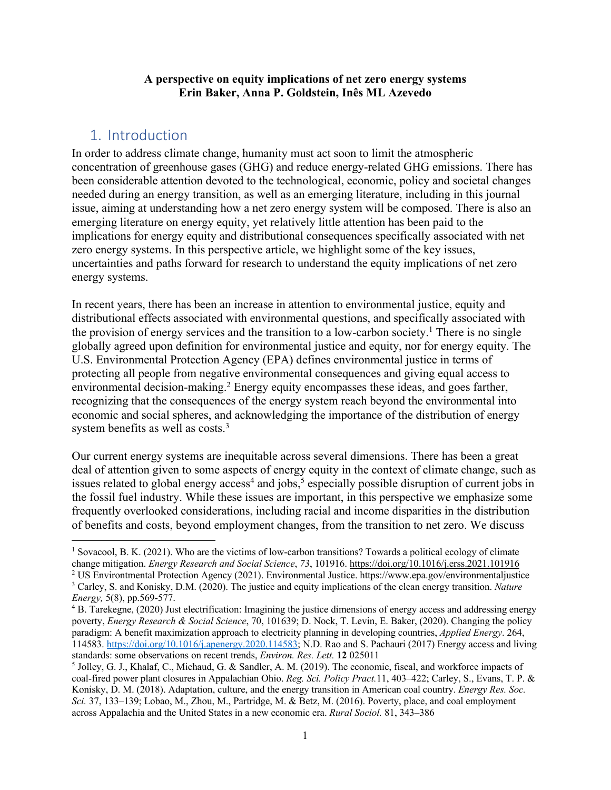### **A perspective on equity implications of net zero energy systems Erin Baker, Anna P. Goldstein, Inês ML Azevedo**

## 1. Introduction

In order to address climate change, humanity must act soon to limit the atmospheric concentration of greenhouse gases (GHG) and reduce energy-related GHG emissions. There has been considerable attention devoted to the technological, economic, policy and societal changes needed during an energy transition, as well as an emerging literature, including in this journal issue, aiming at understanding how a net zero energy system will be composed. There is also an emerging literature on energy equity, yet relatively little attention has been paid to the implications for energy equity and distributional consequences specifically associated with net zero energy systems. In this perspective article, we highlight some of the key issues, uncertainties and paths forward for research to understand the equity implications of net zero energy systems.

In recent years, there has been an increase in attention to environmental justice, equity and distributional effects associated with environmental questions, and specifically associated with the provision of energy services and the transition to a low-carbon society.<sup>1</sup> There is no single globally agreed upon definition for environmental justice and equity, nor for energy equity. The U.S. Environmental Protection Agency (EPA) defines environmental justice in terms of protecting all people from negative environmental consequences and giving equal access to environmental decision-making.<sup>2</sup> Energy equity encompasses these ideas, and goes farther, recognizing that the consequences of the energy system reach beyond the environmental into economic and social spheres, and acknowledging the importance of the distribution of energy system benefits as well as costs.<sup>3</sup>

Our current energy systems are inequitable across several dimensions. There has been a great deal of attention given to some aspects of energy equity in the context of climate change, such as issues related to global energy access<sup>4</sup> and jobs,<sup>5</sup> especially possible disruption of current jobs in the fossil fuel industry. While these issues are important, in this perspective we emphasize some frequently overlooked considerations, including racial and income disparities in the distribution of benefits and costs, beyond employment changes, from the transition to net zero. We discuss

<sup>&</sup>lt;sup>1</sup> Sovacool, B. K. (2021). Who are the victims of low-carbon transitions? Towards a political ecology of climate change mitigation. *Energy Research and Social Science*, *73*, 101916. https://doi.org/10.1016/j.erss.2021.101916

<sup>2</sup> US Environtmental Protection Agency (2021). Environmental Justice. https://www.epa.gov/environmentaljustice <sup>3</sup> Carley, S. and Konisky, D.M. (2020). The justice and equity implications of the clean energy transition. *Nature Energy,* 5(8), pp.569-577.

<sup>&</sup>lt;sup>4</sup> B. Tarekegne, (2020) Just electrification: Imagining the justice dimensions of energy access and addressing energy poverty, *Energy Research & Social Science*, 70, 101639; D. Nock, T. Levin, E. Baker, (2020). Changing the policy paradigm: A benefit maximization approach to electricity planning in developing countries, *Applied Energy*. 264, 114583. https://doi.org/10.1016/j.apenergy.2020.114583; N.D. Rao and S. Pachauri (2017) Energy access and living standards: some observations on recent trends, *Environ. Res. Lett.* **12** 025011

<sup>5</sup> Jolley, G. J., Khalaf, C., Michaud, G. & Sandler, A. M. (2019). The economic, fiscal, and workforce impacts of coal-fired power plant closures in Appalachian Ohio. *Reg. Sci. Policy Pract.*11, 403–422; Carley, S., Evans, T. P. & Konisky, D. M. (2018). Adaptation, culture, and the energy transition in American coal country. *Energy Res. Soc. Sci.* 37, 133–139; Lobao, M., Zhou, M., Partridge, M. & Betz, M. (2016). Poverty, place, and coal employment across Appalachia and the United States in a new economic era. *Rural Sociol.* 81, 343–386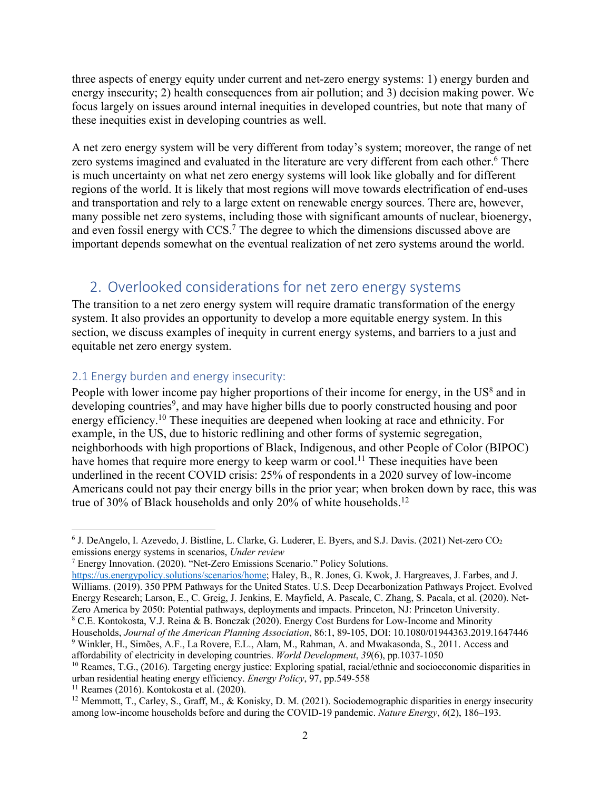three aspects of energy equity under current and net-zero energy systems: 1) energy burden and energy insecurity; 2) health consequences from air pollution; and 3) decision making power. We focus largely on issues around internal inequities in developed countries, but note that many of these inequities exist in developing countries as well.

A net zero energy system will be very different from today's system; moreover, the range of net zero systems imagined and evaluated in the literature are very different from each other.<sup>6</sup> There is much uncertainty on what net zero energy systems will look like globally and for different regions of the world. It is likely that most regions will move towards electrification of end-uses and transportation and rely to a large extent on renewable energy sources. There are, however, many possible net zero systems, including those with significant amounts of nuclear, bioenergy, and even fossil energy with CCS.<sup>7</sup> The degree to which the dimensions discussed above are important depends somewhat on the eventual realization of net zero systems around the world.

# 2. Overlooked considerations for net zero energy systems

The transition to a net zero energy system will require dramatic transformation of the energy system. It also provides an opportunity to develop a more equitable energy system. In this section, we discuss examples of inequity in current energy systems, and barriers to a just and equitable net zero energy system.

### 2.1 Energy burden and energy insecurity:

People with lower income pay higher proportions of their income for energy, in the  $US^8$  and in developing countries<sup>9</sup>, and may have higher bills due to poorly constructed housing and poor energy efficiency.10 These inequities are deepened when looking at race and ethnicity. For example, in the US, due to historic redlining and other forms of systemic segregation, neighborhoods with high proportions of Black, Indigenous, and other People of Color (BIPOC) have homes that require more energy to keep warm or cool.<sup>11</sup> These inequities have been underlined in the recent COVID crisis: 25% of respondents in a 2020 survey of low-income Americans could not pay their energy bills in the prior year; when broken down by race, this was true of 30% of Black households and only 20% of white households.<sup>12</sup>

<sup>6</sup> J. DeAngelo, I. Azevedo, J. Bistline, L. Clarke, G. Luderer, E. Byers, and S.J. Davis. (2021) Net-zero CO2 emissions energy systems in scenarios, *Under review*

<sup>7</sup> Energy Innovation. (2020). "Net-Zero Emissions Scenario." Policy Solutions.

https://us.energypolicy.solutions/scenarios/home; Haley, B., R. Jones, G. Kwok, J. Hargreaves, J. Farbes, and J. Williams. (2019). 350 PPM Pathways for the United States. U.S. Deep Decarbonization Pathways Project. Evolved Energy Research; Larson, E., C. Greig, J. Jenkins, E. Mayfield, A. Pascale, C. Zhang, S. Pacala, et al. (2020). Net-Zero America by 2050: Potential pathways, deployments and impacts. Princeton, NJ: Princeton University. <sup>8</sup> C.E. Kontokosta, V.J. Reina & B. Bonczak (2020). Energy Cost Burdens for Low-Income and Minority Households, *Journal of the American Planning Association*, 86:1, 89-105, DOI: 10.1080/01944363.2019.1647446

<sup>9</sup> Winkler, H., Simões, A.F., La Rovere, E.L., Alam, M., Rahman, A. and Mwakasonda, S., 2011. Access and affordability of electricity in developing countries. *World Development*, *39*(6), pp.1037-1050

<sup>&</sup>lt;sup>10</sup> Reames, T.G., (2016). Targeting energy justice: Exploring spatial, racial/ethnic and socioeconomic disparities in urban residential heating energy efficiency. *Energy Policy*, 97, pp.549-558

 $11$  Reames (2016). Kontokosta et al. (2020).

<sup>&</sup>lt;sup>12</sup> Memmott, T., Carley, S., Graff, M., & Konisky, D. M. (2021). Sociodemographic disparities in energy insecurity among low-income households before and during the COVID-19 pandemic. *Nature Energy*, *6*(2), 186–193.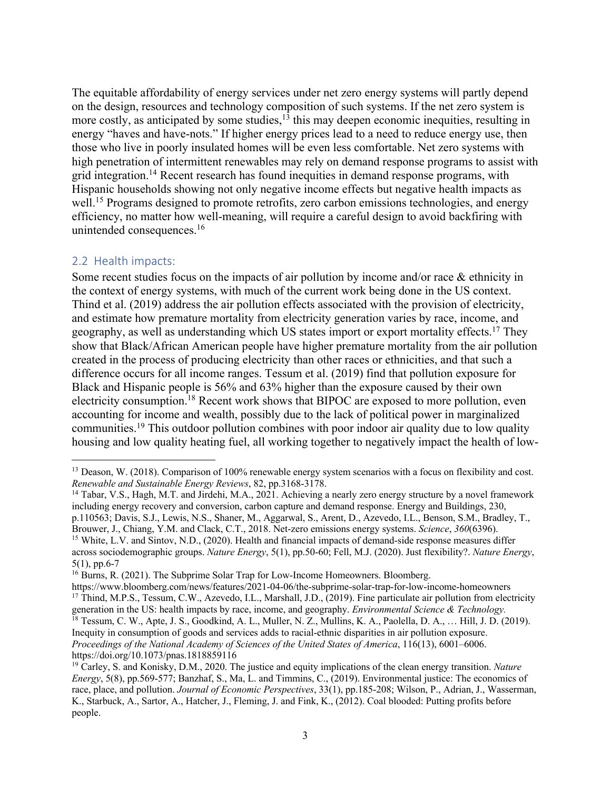The equitable affordability of energy services under net zero energy systems will partly depend on the design, resources and technology composition of such systems. If the net zero system is more costly, as anticipated by some studies,<sup>13</sup> this may deepen economic inequities, resulting in energy "haves and have-nots." If higher energy prices lead to a need to reduce energy use, then those who live in poorly insulated homes will be even less comfortable. Net zero systems with high penetration of intermittent renewables may rely on demand response programs to assist with grid integration.14 Recent research has found inequities in demand response programs, with Hispanic households showing not only negative income effects but negative health impacts as well.<sup>15</sup> Programs designed to promote retrofits, zero carbon emissions technologies, and energy efficiency, no matter how well-meaning, will require a careful design to avoid backfiring with unintended consequences. 16

### 2.2 Health impacts:

Some recent studies focus on the impacts of air pollution by income and/or race  $\&$  ethnicity in the context of energy systems, with much of the current work being done in the US context. Thind et al. (2019) address the air pollution effects associated with the provision of electricity, and estimate how premature mortality from electricity generation varies by race, income, and geography, as well as understanding which US states import or export mortality effects.<sup>17</sup> They show that Black/African American people have higher premature mortality from the air pollution created in the process of producing electricity than other races or ethnicities, and that such a difference occurs for all income ranges. Tessum et al. (2019) find that pollution exposure for Black and Hispanic people is 56% and 63% higher than the exposure caused by their own electricity consumption.<sup>18</sup> Recent work shows that BIPOC are exposed to more pollution, even accounting for income and wealth, possibly due to the lack of political power in marginalized communities.19 This outdoor pollution combines with poor indoor air quality due to low quality housing and low quality heating fuel, all working together to negatively impact the health of low-

<sup>&</sup>lt;sup>13</sup> Deason, W. (2018). Comparison of 100% renewable energy system scenarios with a focus on flexibility and cost. *Renewable and Sustainable Energy Reviews*, 82, pp.3168-3178.

<sup>&</sup>lt;sup>14</sup> Tabar, V.S., Hagh, M.T. and Jirdehi, M.A., 2021. Achieving a nearly zero energy structure by a novel framework including energy recovery and conversion, carbon capture and demand response. Energy and Buildings, 230, p.110563; Davis, S.J., Lewis, N.S., Shaner, M., Aggarwal, S., Arent, D., Azevedo, I.L., Benson, S.M., Bradley, T., Brouwer, J., Chiang, Y.M. and Clack, C.T., 2018. Net-zero emissions energy systems. *Science*, *360*(6396).

<sup>&</sup>lt;sup>15</sup> White, L.V. and Sintov, N.D., (2020). Health and financial impacts of demand-side response measures differ across sociodemographic groups. *Nature Energy*, 5(1), pp.50-60; Fell, M.J. (2020). Just flexibility?. *Nature Energy*, 5(1), pp.6-7

<sup>&</sup>lt;sup>16</sup> Burns, R. (2021). The Subprime Solar Trap for Low-Income Homeowners. Bloomberg.

https://www.bloomberg.com/news/features/2021-04-06/the-subprime-solar-trap-for-low-income-homeowners <sup>17</sup> Thind, M.P.S., Tessum, C.W., Azevedo, I.L., Marshall, J.D., (2019). Fine particulate air pollution from electricity generation in the US: health impacts by race, income, and geography. *Environmental Science & Technology.*

<sup>&</sup>lt;sup>18</sup> Tessum, C. W., Apte, J. S., Goodkind, A. L., Muller, N. Z., Mullins, K. A., Paolella, D. A., ... Hill, J. D. (2019). Inequity in consumption of goods and services adds to racial-ethnic disparities in air pollution exposure. *Proceedings of the National Academy of Sciences of the United States of America*, 116(13), 6001–6006. https://doi.org/10.1073/pnas.1818859116

<sup>19</sup> Carley, S. and Konisky, D.M., 2020. The justice and equity implications of the clean energy transition. *Nature Energy*, 5(8), pp.569-577; Banzhaf, S., Ma, L. and Timmins, C., (2019). Environmental justice: The economics of race, place, and pollution. *Journal of Economic Perspectives*, 33(1), pp.185-208; Wilson, P., Adrian, J., Wasserman, K., Starbuck, A., Sartor, A., Hatcher, J., Fleming, J. and Fink, K., (2012). Coal blooded: Putting profits before people.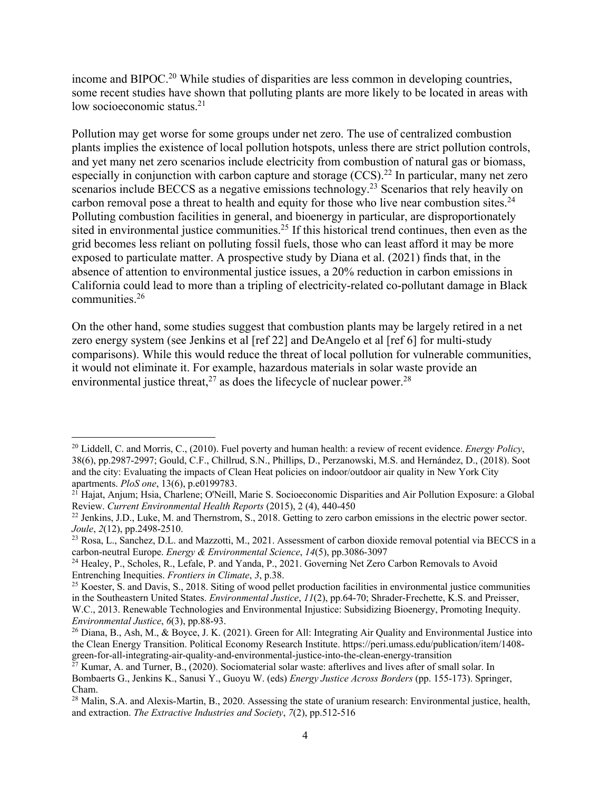income and BIPOC.20 While studies of disparities are less common in developing countries, some recent studies have shown that polluting plants are more likely to be located in areas with low socioeconomic status.<sup>21</sup>

Pollution may get worse for some groups under net zero. The use of centralized combustion plants implies the existence of local pollution hotspots, unless there are strict pollution controls, and yet many net zero scenarios include electricity from combustion of natural gas or biomass, especially in conjunction with carbon capture and storage  $(CCS)$ .<sup>22</sup> In particular, many net zero scenarios include BECCS as a negative emissions technology.<sup>23</sup> Scenarios that rely heavily on carbon removal pose a threat to health and equity for those who live near combustion sites.<sup>24</sup> Polluting combustion facilities in general, and bioenergy in particular, are disproportionately sited in environmental justice communities.<sup>25</sup> If this historical trend continues, then even as the grid becomes less reliant on polluting fossil fuels, those who can least afford it may be more exposed to particulate matter. A prospective study by Diana et al. (2021) finds that, in the absence of attention to environmental justice issues, a 20% reduction in carbon emissions in California could lead to more than a tripling of electricity-related co-pollutant damage in Black communities.26

On the other hand, some studies suggest that combustion plants may be largely retired in a net zero energy system (see Jenkins et al [ref 22] and DeAngelo et al [ref 6] for multi-study comparisons). While this would reduce the threat of local pollution for vulnerable communities, it would not eliminate it. For example, hazardous materials in solar waste provide an environmental justice threat,<sup>27</sup> as does the lifecycle of nuclear power.<sup>28</sup>

<sup>20</sup> Liddell, C. and Morris, C., (2010). Fuel poverty and human health: a review of recent evidence. *Energy Policy*, 38(6), pp.2987-2997; Gould, C.F., Chillrud, S.N., Phillips, D., Perzanowski, M.S. and Hernández, D., (2018). Soot and the city: Evaluating the impacts of Clean Heat policies on indoor/outdoor air quality in New York City apartments. *PloS one*, 13(6), p.e0199783.<br><sup>21</sup> Hajat, Anjum; Hsia, Charlene; O'Neill, Marie S. Socioeconomic Disparities and Air Pollution Exposure: a Global

Review. *Current Environmental Health Reports* (2015), 2 (4), 440-450

<sup>&</sup>lt;sup>22</sup> Jenkins, J.D., Luke, M. and Thernstrom, S., 2018. Getting to zero carbon emissions in the electric power sector. *Joule*, *2*(12), pp.2498-2510.

<sup>&</sup>lt;sup>23</sup> Rosa, L., Sanchez, D.L. and Mazzotti, M., 2021. Assessment of carbon dioxide removal potential via BECCS in a carbon-neutral Europe. *Energy & Environmental Science*, *14*(5), pp.3086-3097

<sup>&</sup>lt;sup>24</sup> Healey, P., Scholes, R., Lefale, P. and Yanda, P., 2021. Governing Net Zero Carbon Removals to Avoid Entrenching Inequities. *Frontiers in Climate*, *3*, p.38.

 $25$  Koester, S. and Davis, S., 2018. Siting of wood pellet production facilities in environmental justice communities in the Southeastern United States. *Environmental Justice*, *11*(2), pp.64-70; Shrader-Frechette, K.S. and Preisser, W.C., 2013. Renewable Technologies and Environmental Injustice: Subsidizing Bioenergy, Promoting Inequity. *Environmental Justice*, *6*(3), pp.88-93.

<sup>&</sup>lt;sup>26</sup> Diana, B., Ash, M., & Boyce, J. K. (2021). Green for All: Integrating Air Quality and Environmental Justice into the Clean Energy Transition. Political Economy Research Institute. https://peri.umass.edu/publication/item/1408 green-for-all-integrating-air-quality-and-environmental-justice-into-the-clean-energy-transition

 $^{27}$  Kumar, A. and Turner, B., (2020). Sociomaterial solar waste: afterlives and lives after of small solar. In Bombaerts G., Jenkins K., Sanusi Y., Guoyu W. (eds) *Energy Justice Across Borders* (pp. 155-173). Springer, Cham.

<sup>&</sup>lt;sup>28</sup> Malin, S.A. and Alexis-Martin, B., 2020. Assessing the state of uranium research: Environmental justice, health, and extraction. *The Extractive Industries and Society*, *7*(2), pp.512-516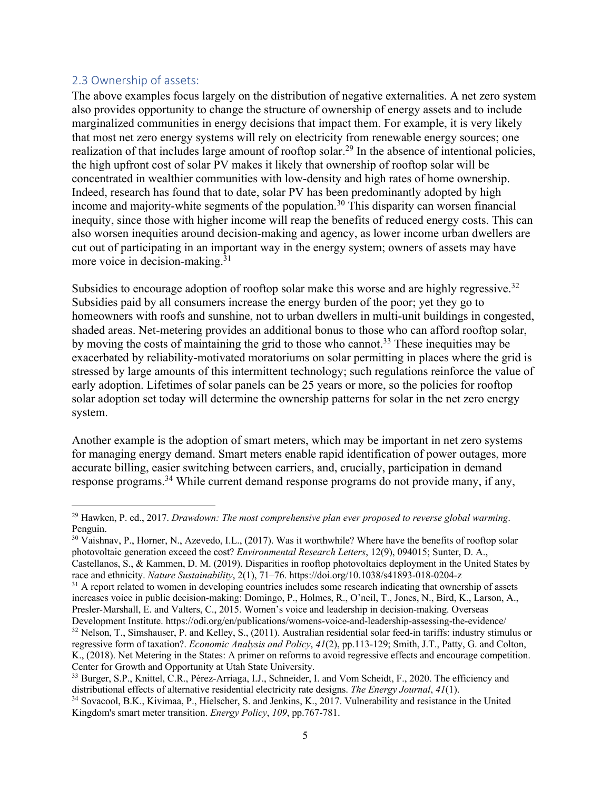### 2.3 Ownership of assets:

The above examples focus largely on the distribution of negative externalities. A net zero system also provides opportunity to change the structure of ownership of energy assets and to include marginalized communities in energy decisions that impact them. For example, it is very likely that most net zero energy systems will rely on electricity from renewable energy sources; one realization of that includes large amount of rooftop solar.<sup>29</sup> In the absence of intentional policies, the high upfront cost of solar PV makes it likely that ownership of rooftop solar will be concentrated in wealthier communities with low-density and high rates of home ownership. Indeed, research has found that to date, solar PV has been predominantly adopted by high income and majority-white segments of the population. <sup>30</sup> This disparity can worsen financial inequity, since those with higher income will reap the benefits of reduced energy costs. This can also worsen inequities around decision-making and agency, as lower income urban dwellers are cut out of participating in an important way in the energy system; owners of assets may have more voice in decision-making.<sup>31</sup>

Subsidies to encourage adoption of rooftop solar make this worse and are highly regressive.<sup>32</sup> Subsidies paid by all consumers increase the energy burden of the poor; yet they go to homeowners with roofs and sunshine, not to urban dwellers in multi-unit buildings in congested, shaded areas. Net-metering provides an additional bonus to those who can afford rooftop solar, by moving the costs of maintaining the grid to those who cannot.<sup>33</sup> These inequities may be exacerbated by reliability-motivated moratoriums on solar permitting in places where the grid is stressed by large amounts of this intermittent technology; such regulations reinforce the value of early adoption. Lifetimes of solar panels can be 25 years or more, so the policies for rooftop solar adoption set today will determine the ownership patterns for solar in the net zero energy system.

Another example is the adoption of smart meters, which may be important in net zero systems for managing energy demand. Smart meters enable rapid identification of power outages, more accurate billing, easier switching between carriers, and, crucially, participation in demand response programs.<sup>34</sup> While current demand response programs do not provide many, if any,

<sup>29</sup> Hawken, P. ed., 2017. *Drawdown: The most comprehensive plan ever proposed to reverse global warming*. Penguin.

<sup>&</sup>lt;sup>30</sup> Vaishnav, P., Horner, N., Azevedo, I.L., (2017). Was it worthwhile? Where have the benefits of rooftop solar photovoltaic generation exceed the cost? *Environmental Research Letters*, 12(9), 094015; Sunter, D. A., Castellanos, S., & Kammen, D. M. (2019). Disparities in rooftop photovoltaics deployment in the United States by race and ethnicity. *Nature Sustainability*, 2(1), 71–76. https://doi.org/10.1038/s41893-018-0204-z

 $31$  A report related to women in developing countries includes some research indicating that ownership of assets increases voice in public decision-making: Domingo, P., Holmes, R., O'neil, T., Jones, N., Bird, K., Larson, A., Presler-Marshall, E. and Valters, C., 2015. Women's voice and leadership in decision-making. Overseas Development Institute. https://odi.org/en/publications/womens-voice-and-leadership-assessing-the-evidence/  $32$  Nelson, T., Simshauser, P. and Kelley, S., (2011). Australian residential solar feed-in tariffs: industry stimulus or regressive form of taxation?. *Economic Analysis and Policy*, *41*(2), pp.113-129; Smith, J.T., Patty, G. and Colton, K., (2018). Net Metering in the States: A primer on reforms to avoid regressive effects and encourage competition. Center for Growth and Opportunity at Utah State University.

<sup>&</sup>lt;sup>33</sup> Burger, S.P., Knittel, C.R., Pérez-Arriaga, I.J., Schneider, I. and Vom Scheidt, F., 2020. The efficiency and distributional effects of alternative residential electricity rate designs. *The Energy Journal*, *41*(1).

<sup>34</sup> Sovacool, B.K., Kivimaa, P., Hielscher, S. and Jenkins, K., 2017. Vulnerability and resistance in the United Kingdom's smart meter transition. *Energy Policy*, *109*, pp.767-781.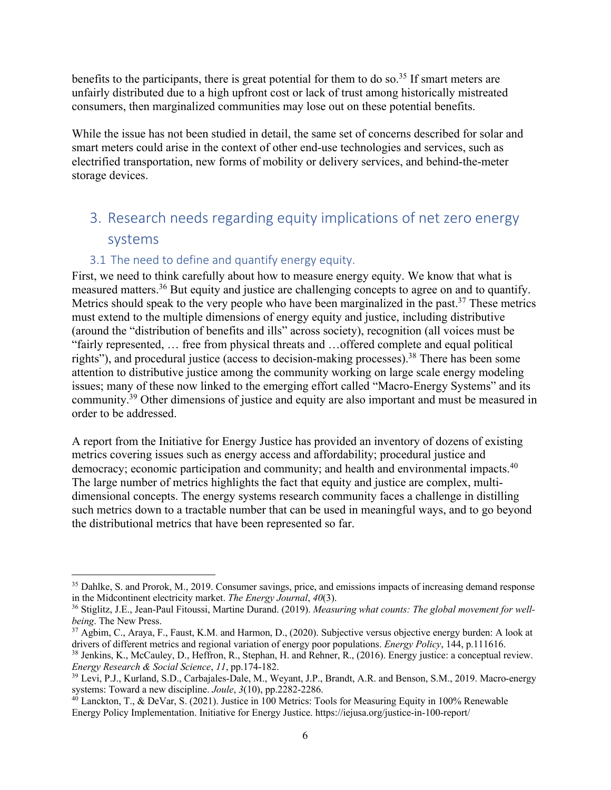benefits to the participants, there is great potential for them to do so.<sup>35</sup> If smart meters are unfairly distributed due to a high upfront cost or lack of trust among historically mistreated consumers, then marginalized communities may lose out on these potential benefits.

While the issue has not been studied in detail, the same set of concerns described for solar and smart meters could arise in the context of other end-use technologies and services, such as electrified transportation, new forms of mobility or delivery services, and behind-the-meter storage devices.

# 3. Research needs regarding equity implications of net zero energy systems

### 3.1 The need to define and quantify energy equity.

First, we need to think carefully about how to measure energy equity. We know that what is measured matters.36 But equity and justice are challenging concepts to agree on and to quantify. Metrics should speak to the very people who have been marginalized in the past.<sup>37</sup> These metrics must extend to the multiple dimensions of energy equity and justice, including distributive (around the "distribution of benefits and ills" across society), recognition (all voices must be "fairly represented, … free from physical threats and …offered complete and equal political rights"), and procedural justice (access to decision-making processes).<sup>38</sup> There has been some attention to distributive justice among the community working on large scale energy modeling issues; many of these now linked to the emerging effort called "Macro-Energy Systems" and its community.<sup>39</sup> Other dimensions of justice and equity are also important and must be measured in order to be addressed.

A report from the Initiative for Energy Justice has provided an inventory of dozens of existing metrics covering issues such as energy access and affordability; procedural justice and democracy; economic participation and community; and health and environmental impacts.<sup>40</sup> The large number of metrics highlights the fact that equity and justice are complex, multidimensional concepts. The energy systems research community faces a challenge in distilling such metrics down to a tractable number that can be used in meaningful ways, and to go beyond the distributional metrics that have been represented so far.

<sup>&</sup>lt;sup>35</sup> Dahlke, S. and Prorok, M., 2019. Consumer savings, price, and emissions impacts of increasing demand response in the Midcontinent electricity market. *The Energy Journal*, *40*(3).

<sup>36</sup> Stiglitz, J.E., Jean-Paul Fitoussi, Martine Durand. (2019). *Measuring what counts: The global movement for wellbeing*. The New Press.

<sup>&</sup>lt;sup>37</sup> Agbim, C., Araya, F., Faust, K.M. and Harmon, D., (2020). Subjective versus objective energy burden: A look at drivers of different metrics and regional variation of energy poor populations. *Energy Policy*, 144, p.111616.

<sup>38</sup> Jenkins, K., McCauley, D., Heffron, R., Stephan, H. and Rehner, R., (2016). Energy justice: a conceptual review. *Energy Research & Social Science*, *11*, pp.174-182.

<sup>&</sup>lt;sup>39</sup> Levi, P.J., Kurland, S.D., Carbajales-Dale, M., Weyant, J.P., Brandt, A.R. and Benson, S.M., 2019. Macro-energy systems: Toward a new discipline. *Joule*, *3*(10), pp.2282-2286.

<sup>&</sup>lt;sup>40</sup> Lanckton, T., & DeVar, S. (2021). Justice in 100 Metrics: Tools for Measuring Equity in 100% Renewable Energy Policy Implementation. Initiative for Energy Justice. https://iejusa.org/justice-in-100-report/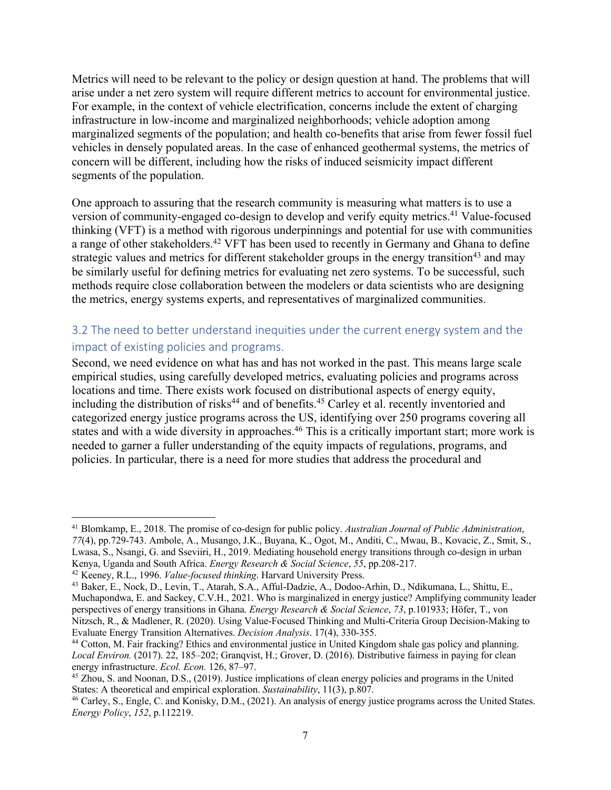Metrics will need to be relevant to the policy or design question at hand. The problems that will arise under a net zero system will require different metrics to account for environmental justice. For example, in the context of vehicle electrification, concerns include the extent of charging infrastructure in low-income and marginalized neighborhoods; vehicle adoption among marginalized segments of the population; and health co-benefits that arise from fewer fossil fuel vehicles in densely populated areas. In the case of enhanced geothermal systems, the metrics of concern will be different, including how the risks of induced seismicity impact different segments of the population.

One approach to assuring that the research community is measuring what matters is to use a version of community-engaged co-design to develop and verify equity metrics.<sup>41</sup> Value-focused thinking (VFT) is a method with rigorous underpinnings and potential for use with communities a range of other stakeholders.<sup>42</sup> VFT has been used to recently in Germany and Ghana to define strategic values and metrics for different stakeholder groups in the energy transition<sup>43</sup> and may be similarly useful for defining metrics for evaluating net zero systems. To be successful, such methods require close collaboration between the modelers or data scientists who are designing the metrics, energy systems experts, and representatives of marginalized communities.

### 3.2 The need to better understand inequities under the current energy system and the impact of existing policies and programs.

Second, we need evidence on what has and has not worked in the past. This means large scale empirical studies, using carefully developed metrics, evaluating policies and programs across locations and time. There exists work focused on distributional aspects of energy equity, including the distribution of risks<sup>44</sup> and of benefits.<sup>45</sup> Carley et al. recently inventoried and categorized energy justice programs across the US, identifying over 250 programs covering all states and with a wide diversity in approaches.<sup>46</sup> This is a critically important start; more work is needed to garner a fuller understanding of the equity impacts of regulations, programs, and policies. In particular, there is a need for more studies that address the procedural and

<sup>41</sup> Blomkamp, E., 2018. The promise of co‐design for public policy. *Australian Journal of Public Administration*, *77*(4), pp.729-743. Ambole, A., Musango, J.K., Buyana, K., Ogot, M., Anditi, C., Mwau, B., Kovacic, Z., Smit, S., Lwasa, S., Nsangi, G. and Sseviiri, H., 2019. Mediating household energy transitions through co-design in urban Kenya, Uganda and South Africa. *Energy Research & Social Science*, *55*, pp.208-217.

<sup>42</sup> Keeney, R.L., 1996. *Value-focused thinking*. Harvard University Press.

<sup>43</sup> Baker, E., Nock, D., Levin, T., Atarah, S.A., Afful-Dadzie, A., Dodoo-Arhin, D., Ndikumana, L., Shittu, E., Muchapondwa, E. and Sackey, C.V.H., 2021. Who is marginalized in energy justice? Amplifying community leader perspectives of energy transitions in Ghana. *Energy Research & Social Science*, *73*, p.101933; Höfer, T., von Nitzsch, R., & Madlener, R. (2020). Using Value-Focused Thinking and Multi-Criteria Group Decision-Making to Evaluate Energy Transition Alternatives. *Decision Analysis*. 17(4), 330-355.

<sup>44</sup> Cotton, M. Fair fracking? Ethics and environmental justice in United Kingdom shale gas policy and planning. *Local Environ.* (2017). 22, 185–202; Granqvist, H.; Grover, D. (2016). Distributive fairness in paying for clean energy infrastructure. *Ecol. Econ.* 126, 87–97.

<sup>&</sup>lt;sup>45</sup> Zhou, S. and Noonan, D.S., (2019). Justice implications of clean energy policies and programs in the United States: A theoretical and empirical exploration. *Sustainability*, 11(3), p.807.

<sup>&</sup>lt;sup>46</sup> Carley, S., Engle, C. and Konisky, D.M., (2021). An analysis of energy justice programs across the United States. *Energy Policy*, *152*, p.112219.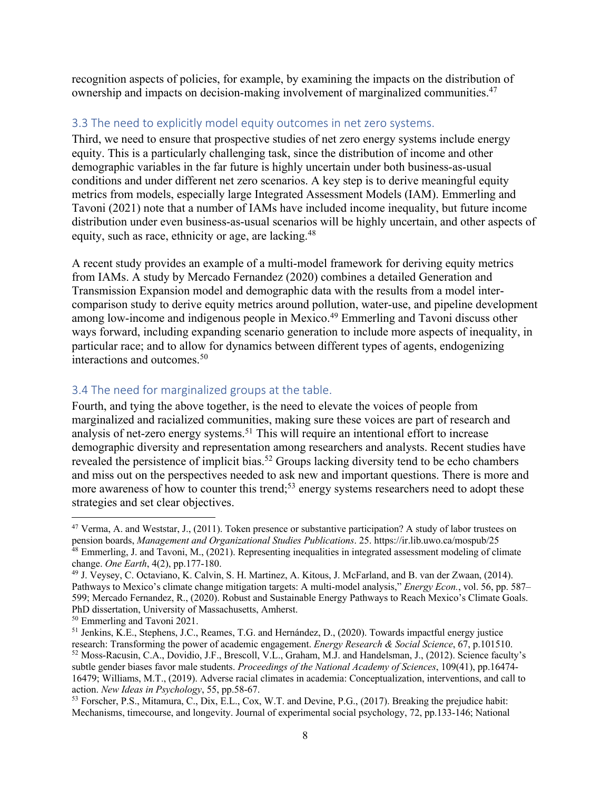recognition aspects of policies, for example, by examining the impacts on the distribution of ownership and impacts on decision-making involvement of marginalized communities. 47

#### 3.3 The need to explicitly model equity outcomes in net zero systems.

Third, we need to ensure that prospective studies of net zero energy systems include energy equity. This is a particularly challenging task, since the distribution of income and other demographic variables in the far future is highly uncertain under both business-as-usual conditions and under different net zero scenarios. A key step is to derive meaningful equity metrics from models, especially large Integrated Assessment Models (IAM). Emmerling and Tavoni (2021) note that a number of IAMs have included income inequality, but future income distribution under even business-as-usual scenarios will be highly uncertain, and other aspects of equity, such as race, ethnicity or age, are lacking.<sup>48</sup>

A recent study provides an example of a multi-model framework for deriving equity metrics from IAMs. A study by Mercado Fernandez (2020) combines a detailed Generation and Transmission Expansion model and demographic data with the results from a model intercomparison study to derive equity metrics around pollution, water-use, and pipeline development among low-income and indigenous people in Mexico. <sup>49</sup> Emmerling and Tavoni discuss other ways forward, including expanding scenario generation to include more aspects of inequality, in particular race; and to allow for dynamics between different types of agents, endogenizing interactions and outcomes.50

### 3.4 The need for marginalized groups at the table.

Fourth, and tying the above together, is the need to elevate the voices of people from marginalized and racialized communities, making sure these voices are part of research and analysis of net-zero energy systems.<sup>51</sup> This will require an intentional effort to increase demographic diversity and representation among researchers and analysts. Recent studies have revealed the persistence of implicit bias.<sup>52</sup> Groups lacking diversity tend to be echo chambers and miss out on the perspectives needed to ask new and important questions. There is more and more awareness of how to counter this trend;<sup>53</sup> energy systems researchers need to adopt these strategies and set clear objectives.

<sup>&</sup>lt;sup>47</sup> Verma, A. and Weststar, J., (2011). Token presence or substantive participation? A study of labor trustees on pension boards, *Management and Organizational Studies Publications*. 25. https://ir.lib.uwo.ca/mospub/25  $48$  Emmerling, J. and Tavoni, M., (2021). Representing inequalities in integrated assessment modeling of climate change. *One Earth*, 4(2), pp.177-180.

<sup>49</sup> J. Veysey, C. Octaviano, K. Calvin, S. H. Martinez, A. Kitous, J. McFarland, and B. van der Zwaan, (2014). Pathways to Mexico's climate change mitigation targets: A multi-model analysis," *Energy Econ.*, vol. 56, pp. 587– 599; Mercado Fernandez, R., (2020). Robust and Sustainable Energy Pathways to Reach Mexico's Climate Goals. PhD dissertation, University of Massachusetts, Amherst.

<sup>50</sup> Emmerling and Tavoni 2021.

<sup>51</sup> Jenkins, K.E., Stephens, J.C., Reames, T.G. and Hernández, D., (2020). Towards impactful energy justice research: Transforming the power of academic engagement. *Energy Research & Social Science*, 67, p.101510. <sup>52</sup> Moss-Racusin, C.A., Dovidio, J.F., Brescoll, V.L., Graham, M.J. and Handelsman, J., (2012). Science faculty's subtle gender biases favor male students. *Proceedings of the National Academy of Sciences*, 109(41), pp.16474- 16479; Williams, M.T., (2019). Adverse racial climates in academia: Conceptualization, interventions, and call to action. *New Ideas in Psychology*, 55, pp.58-67.

<sup>&</sup>lt;sup>53</sup> Forscher, P.S., Mitamura, C., Dix, E.L., Cox, W.T. and Devine, P.G., (2017). Breaking the prejudice habit: Mechanisms, timecourse, and longevity. Journal of experimental social psychology, 72, pp.133-146; National